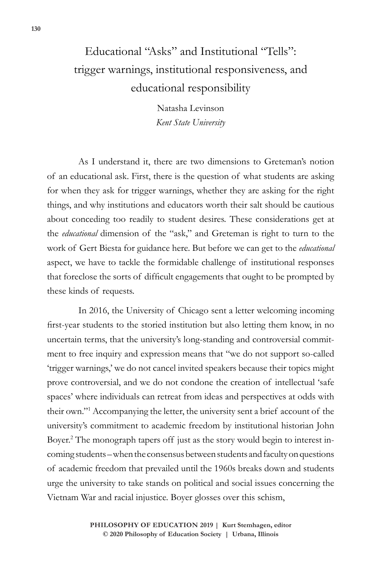## Educational "Asks" and Institutional "Tells": trigger warnings, institutional responsiveness, and educational responsibility

Natasha Levinson *Kent State University*

As I understand it, there are two dimensions to Greteman's notion of an educational ask. First, there is the question of what students are asking for when they ask for trigger warnings, whether they are asking for the right things, and why institutions and educators worth their salt should be cautious about conceding too readily to student desires. These considerations get at the *educational* dimension of the "ask," and Greteman is right to turn to the work of Gert Biesta for guidance here. But before we can get to the *educational* aspect, we have to tackle the formidable challenge of institutional responses that foreclose the sorts of difficult engagements that ought to be prompted by these kinds of requests.

In 2016, the University of Chicago sent a letter welcoming incoming first-year students to the storied institution but also letting them know, in no uncertain terms, that the university's long-standing and controversial commitment to free inquiry and expression means that "we do not support so-called 'trigger warnings,' we do not cancel invited speakers because their topics might prove controversial, and we do not condone the creation of intellectual 'safe spaces' where individuals can retreat from ideas and perspectives at odds with their own."1 Accompanying the letter, the university sent a brief account of the university's commitment to academic freedom by institutional historian John Boyer.2 The monograph tapers off just as the story would begin to interest incoming students – when the consensus between students and faculty on questions of academic freedom that prevailed until the 1960s breaks down and students urge the university to take stands on political and social issues concerning the Vietnam War and racial injustice. Boyer glosses over this schism,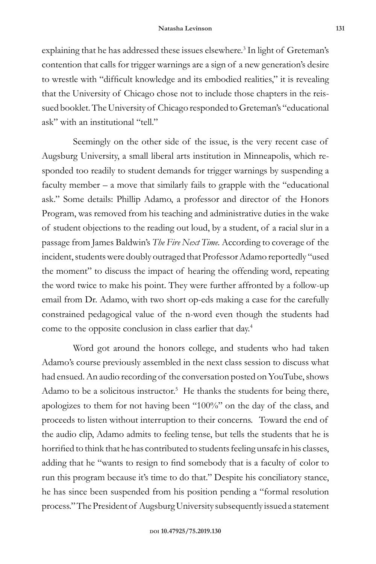explaining that he has addressed these issues elsewhere.<sup>3</sup> In light of Greteman's contention that calls for trigger warnings are a sign of a new generation's desire to wrestle with "difficult knowledge and its embodied realities," it is revealing that the University of Chicago chose not to include those chapters in the reissued booklet. The University of Chicago responded to Greteman's "educational ask" with an institutional "tell."

Seemingly on the other side of the issue, is the very recent case of Augsburg University, a small liberal arts institution in Minneapolis, which responded too readily to student demands for trigger warnings by suspending a faculty member – a move that similarly fails to grapple with the "educational ask." Some details: Phillip Adamo, a professor and director of the Honors Program, was removed from his teaching and administrative duties in the wake of student objections to the reading out loud, by a student, of a racial slur in a passage from James Baldwin's *The Fire Next Time.* According to coverage of the incident, students were doubly outraged that Professor Adamo reportedly "used the moment" to discuss the impact of hearing the offending word, repeating the word twice to make his point. They were further affronted by a follow-up email from Dr. Adamo, with two short op-eds making a case for the carefully constrained pedagogical value of the n-word even though the students had come to the opposite conclusion in class earlier that day.4

Word got around the honors college, and students who had taken Adamo's course previously assembled in the next class session to discuss what had ensued. An audio recording of the conversation posted on YouTube, shows Adamo to be a solicitous instructor.<sup>5</sup> He thanks the students for being there, apologizes to them for not having been "100%" on the day of the class, and proceeds to listen without interruption to their concerns. Toward the end of the audio clip, Adamo admits to feeling tense, but tells the students that he is horrified to think that he has contributed to students feeling unsafe in his classes, adding that he "wants to resign to find somebody that is a faculty of color to run this program because it's time to do that." Despite his conciliatory stance, he has since been suspended from his position pending a "formal resolution process." The President of Augsburg University subsequently issued a statement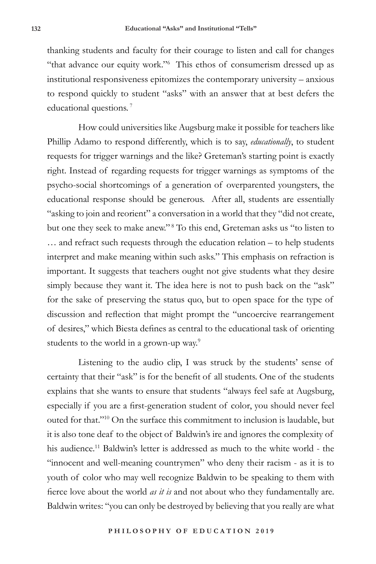thanking students and faculty for their courage to listen and call for changes "that advance our equity work."6 This ethos of consumerism dressed up as institutional responsiveness epitomizes the contemporary university – anxious to respond quickly to student "asks" with an answer that at best defers the educational questions.<sup>7</sup>

How could universities like Augsburg make it possible for teachers like Phillip Adamo to respond differently, which is to say, *educationally*, to student requests for trigger warnings and the like? Greteman's starting point is exactly right. Instead of regarding requests for trigger warnings as symptoms of the psycho-social shortcomings of a generation of overparented youngsters, the educational response should be generous. After all, students are essentially "asking to join and reorient" a conversation in a world that they "did not create, but one they seek to make anew."<sup>8</sup> To this end, Greteman asks us "to listen to … and refract such requests through the education relation – to help students interpret and make meaning within such asks." This emphasis on refraction is important. It suggests that teachers ought not give students what they desire simply because they want it. The idea here is not to push back on the "ask" for the sake of preserving the status quo, but to open space for the type of discussion and reflection that might prompt the "uncoercive rearrangement of desires," which Biesta defines as central to the educational task of orienting students to the world in a grown-up way.<sup>9</sup>

Listening to the audio clip, I was struck by the students' sense of certainty that their "ask" is for the benefit of all students. One of the students explains that she wants to ensure that students "always feel safe at Augsburg, especially if you are a first-generation student of color, you should never feel outed for that."10 On the surface this commitment to inclusion is laudable, but it is also tone deaf to the object of Baldwin's ire and ignores the complexity of his audience.<sup>11</sup> Baldwin's letter is addressed as much to the white world - the "innocent and well-meaning countrymen" who deny their racism - as it is to youth of color who may well recognize Baldwin to be speaking to them with fierce love about the world *as it is* and not about who they fundamentally are. Baldwin writes: "you can only be destroyed by believing that you really are what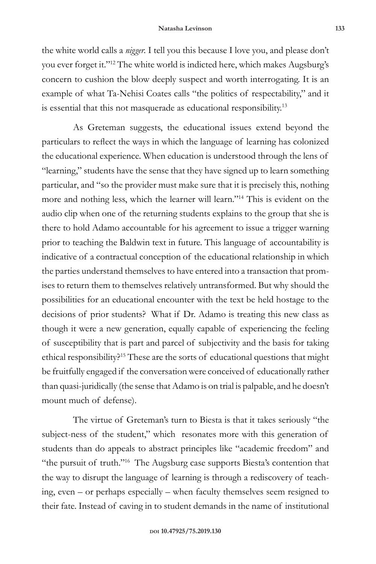the white world calls a *nigger.* I tell you this because I love you, and please don't you ever forget it."12 The white world is indicted here, which makes Augsburg's concern to cushion the blow deeply suspect and worth interrogating. It is an example of what Ta-Nehisi Coates calls "the politics of respectability," and it is essential that this not masquerade as educational responsibility.13

As Greteman suggests, the educational issues extend beyond the particulars to reflect the ways in which the language of learning has colonized the educational experience. When education is understood through the lens of "learning," students have the sense that they have signed up to learn something particular, and "so the provider must make sure that it is precisely this, nothing more and nothing less, which the learner will learn."14 This is evident on the audio clip when one of the returning students explains to the group that she is there to hold Adamo accountable for his agreement to issue a trigger warning prior to teaching the Baldwin text in future. This language of accountability is indicative of a contractual conception of the educational relationship in which the parties understand themselves to have entered into a transaction that promises to return them to themselves relatively untransformed. But why should the possibilities for an educational encounter with the text be held hostage to the decisions of prior students? What if Dr. Adamo is treating this new class as though it were a new generation, equally capable of experiencing the feeling of susceptibility that is part and parcel of subjectivity and the basis for taking ethical responsibility?15 These are the sorts of educational questions that might be fruitfully engaged if the conversation were conceived of educationally rather than quasi-juridically (the sense that Adamo is on trial is palpable, and he doesn't mount much of defense).

The virtue of Greteman's turn to Biesta is that it takes seriously "the subject-ness of the student," which resonates more with this generation of students than do appeals to abstract principles like "academic freedom" and "the pursuit of truth."16 The Augsburg case supports Biesta's contention that the way to disrupt the language of learning is through a rediscovery of teaching, even – or perhaps especially – when faculty themselves seem resigned to their fate. Instead of caving in to student demands in the name of institutional